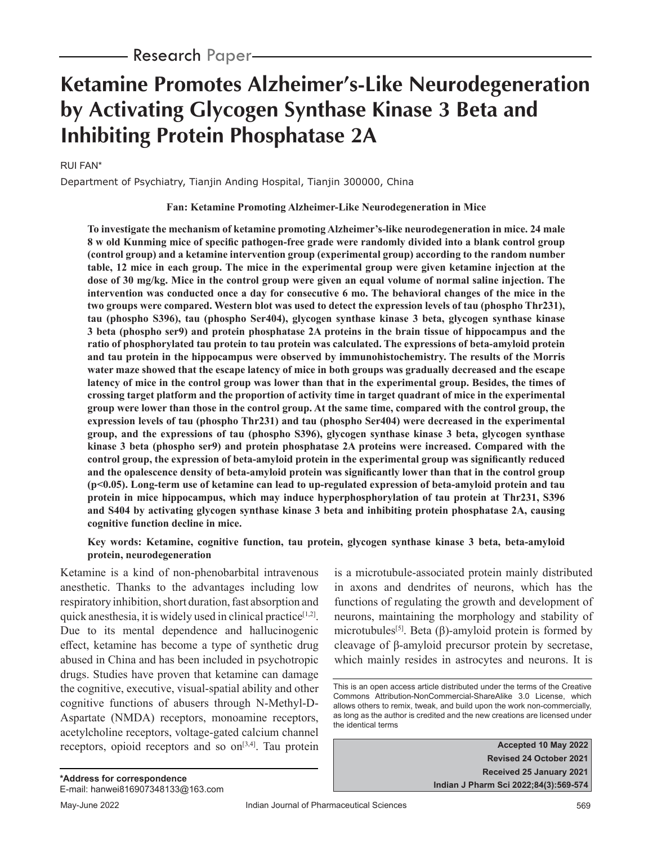# **Ketamine Promotes Alzheimer's-Like Neurodegeneration by Activating Glycogen Synthase Kinase 3 Beta and Inhibiting Protein Phosphatase 2A**

### RUI FAN\*

Department of Psychiatry, Tianjin Anding Hospital, Tianjin 300000, China

#### **Fan: Ketamine Promoting Alzheimer-Like Neurodegeneration in Mice**

**To investigate the mechanism of ketamine promoting Alzheimer's-like neurodegeneration in mice. 24 male 8 w old Kunming mice of specific pathogen-free grade were randomly divided into a blank control group (control group) and a ketamine intervention group (experimental group) according to the random number table, 12 mice in each group. The mice in the experimental group were given ketamine injection at the dose of 30 mg/kg. Mice in the control group were given an equal volume of normal saline injection. The intervention was conducted once a day for consecutive 6 mo. The behavioral changes of the mice in the two groups were compared. Western blot was used to detect the expression levels of tau (phospho Thr231), tau (phospho S396), tau (phospho Ser404), glycogen synthase kinase 3 beta, glycogen synthase kinase 3 beta (phospho ser9) and protein phosphatase 2A proteins in the brain tissue of hippocampus and the ratio of phosphorylated tau protein to tau protein was calculated. The expressions of beta-amyloid protein and tau protein in the hippocampus were observed by immunohistochemistry. The results of the Morris water maze showed that the escape latency of mice in both groups was gradually decreased and the escape latency of mice in the control group was lower than that in the experimental group. Besides, the times of crossing target platform and the proportion of activity time in target quadrant of mice in the experimental group were lower than those in the control group. At the same time, compared with the control group, the expression levels of tau (phospho Thr231) and tau (phospho Ser404) were decreased in the experimental group, and the expressions of tau (phospho S396), glycogen synthase kinase 3 beta, glycogen synthase kinase 3 beta (phospho ser9) and protein phosphatase 2A proteins were increased. Compared with the control group, the expression of beta-amyloid protein in the experimental group was significantly reduced and the opalescence density of beta-amyloid protein was significantly lower than that in the control group (p<0.05). Long-term use of ketamine can lead to up-regulated expression of beta-amyloid protein and tau protein in mice hippocampus, which may induce hyperphosphorylation of tau protein at Thr231, S396 and S404 by activating glycogen synthase kinase 3 beta and inhibiting protein phosphatase 2A, causing cognitive function decline in mice.**

**Key words: Ketamine, cognitive function, tau protein, glycogen synthase kinase 3 beta, beta-amyloid protein, neurodegeneration**

Ketamine is a kind of non-phenobarbital intravenous anesthetic. Thanks to the advantages including low respiratory inhibition, short duration, fast absorption and quick anesthesia, it is widely used in clinical practice<sup>[1,2]</sup>. Due to its mental dependence and hallucinogenic effect, ketamine has become a type of synthetic drug abused in China and has been included in psychotropic drugs. Studies have proven that ketamine can damage the cognitive, executive, visual-spatial ability and other cognitive functions of abusers through N-Methyl-D-Aspartate (NMDA) receptors, monoamine receptors, acetylcholine receptors, voltage-gated calcium channel receptors, opioid receptors and so  $\text{on}^{[3,4]}$ . Tau protein

is a microtubule-associated protein mainly distributed in axons and dendrites of neurons, which has the functions of regulating the growth and development of neurons, maintaining the morphology and stability of microtubules<sup>[5]</sup>. Beta ( $\beta$ )-amyloid protein is formed by cleavage of β-amyloid precursor protein by secretase, which mainly resides in astrocytes and neurons. It is

**Accepted 10 May 2022 Revised 24 October 2021 Received 25 January 2021 Indian J Pharm Sci 2022;84(3):569-574**

This is an open access article distributed under the terms of the Creative Commons Attribution-NonCommercial-ShareAlike 3.0 License, which allows others to remix, tweak, and build upon the work non-commercially, as long as the author is credited and the new creations are licensed under the identical terms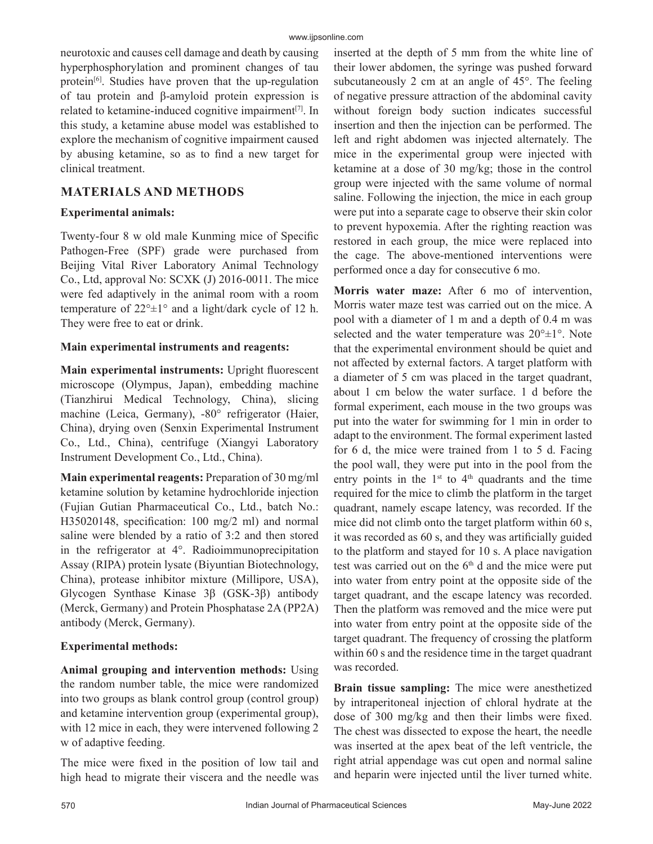neurotoxic and causes cell damage and death by causing hyperphosphorylation and prominent changes of tau protein<sup>[6]</sup>. Studies have proven that the up-regulation of tau protein and β-amyloid protein expression is related to ketamine-induced cognitive impairment $[7]$ . In this study, a ketamine abuse model was established to explore the mechanism of cognitive impairment caused by abusing ketamine, so as to find a new target for clinical treatment.

# **MATERIALS AND METHODS**

## **Experimental animals:**

Twenty-four 8 w old male Kunming mice of Specific Pathogen-Free (SPF) grade were purchased from Beijing Vital River Laboratory Animal Technology Co., Ltd, approval No: SCXK (J) 2016-0011. The mice were fed adaptively in the animal room with a room temperature of  $22^{\circ} \pm 1^{\circ}$  and a light/dark cycle of 12 h. They were free to eat or drink.

## **Main experimental instruments and reagents:**

**Main experimental instruments:** Upright fluorescent microscope (Olympus, Japan), embedding machine (Tianzhirui Medical Technology, China), slicing machine (Leica, Germany), -80° refrigerator (Haier, China), drying oven (Senxin Experimental Instrument Co., Ltd., China), centrifuge (Xiangyi Laboratory Instrument Development Co., Ltd., China).

**Main experimental reagents:** Preparation of 30 mg/ml ketamine solution by ketamine hydrochloride injection (Fujian Gutian Pharmaceutical Co., Ltd., batch No.: H35020148, specification: 100 mg/2 ml) and normal saline were blended by a ratio of 3:2 and then stored in the refrigerator at 4°. Radioimmunoprecipitation Assay (RIPA) protein lysate (Biyuntian Biotechnology, China), protease inhibitor mixture (Millipore, USA), Glycogen Synthase Kinase 3β (GSK-3β) antibody (Merck, Germany) and Protein Phosphatase 2A (PP2A) antibody (Merck, Germany).

## **Experimental methods:**

**Animal grouping and intervention methods:** Using the random number table, the mice were randomized into two groups as blank control group (control group) and ketamine intervention group (experimental group), with 12 mice in each, they were intervened following 2 w of adaptive feeding.

The mice were fixed in the position of low tail and high head to migrate their viscera and the needle was inserted at the depth of 5 mm from the white line of their lower abdomen, the syringe was pushed forward subcutaneously 2 cm at an angle of 45°. The feeling of negative pressure attraction of the abdominal cavity without foreign body suction indicates successful insertion and then the injection can be performed. The left and right abdomen was injected alternately. The mice in the experimental group were injected with ketamine at a dose of 30 mg/kg; those in the control group were injected with the same volume of normal saline. Following the injection, the mice in each group were put into a separate cage to observe their skin color to prevent hypoxemia. After the righting reaction was restored in each group, the mice were replaced into the cage. The above-mentioned interventions were performed once a day for consecutive 6 mo.

**Morris water maze:** After 6 mo of intervention, Morris water maze test was carried out on the mice. A pool with a diameter of 1 m and a depth of 0.4 m was selected and the water temperature was  $20^{\circ} \pm 1^{\circ}$ . Note that the experimental environment should be quiet and not affected by external factors. A target platform with a diameter of 5 cm was placed in the target quadrant, about 1 cm below the water surface. 1 d before the formal experiment, each mouse in the two groups was put into the water for swimming for 1 min in order to adapt to the environment. The formal experiment lasted for 6 d, the mice were trained from 1 to 5 d. Facing the pool wall, they were put into in the pool from the entry points in the  $1<sup>st</sup>$  to  $4<sup>th</sup>$  quadrants and the time required for the mice to climb the platform in the target quadrant, namely escape latency, was recorded. If the mice did not climb onto the target platform within 60 s, it was recorded as 60 s, and they was artificially guided to the platform and stayed for 10 s. A place navigation test was carried out on the  $6<sup>th</sup>$  d and the mice were put into water from entry point at the opposite side of the target quadrant, and the escape latency was recorded. Then the platform was removed and the mice were put into water from entry point at the opposite side of the target quadrant. The frequency of crossing the platform within 60 s and the residence time in the target quadrant was recorded.

**Brain tissue sampling:** The mice were anesthetized by intraperitoneal injection of chloral hydrate at the dose of 300 mg/kg and then their limbs were fixed. The chest was dissected to expose the heart, the needle was inserted at the apex beat of the left ventricle, the right atrial appendage was cut open and normal saline and heparin were injected until the liver turned white.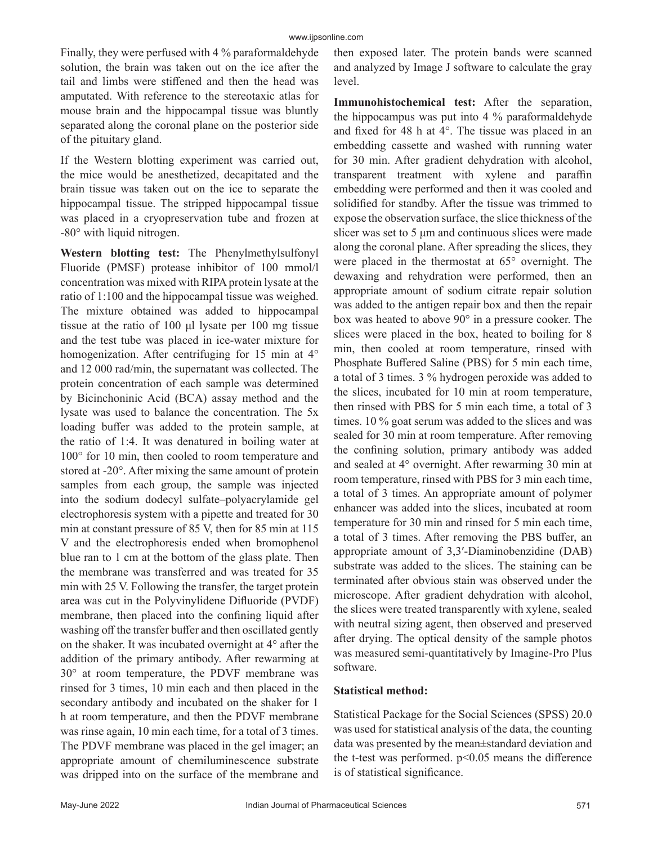Finally, they were perfused with 4 % paraformaldehyde solution, the brain was taken out on the ice after the tail and limbs were stiffened and then the head was amputated. With reference to the stereotaxic atlas for mouse brain and the hippocampal tissue was bluntly separated along the coronal plane on the posterior side of the pituitary gland.

If the Western blotting experiment was carried out, the mice would be anesthetized, decapitated and the brain tissue was taken out on the ice to separate the hippocampal tissue. The stripped hippocampal tissue was placed in a cryopreservation tube and frozen at -80° with liquid nitrogen.

**Western blotting test:** The Phenylmethylsulfonyl Fluoride (PMSF) protease inhibitor of 100 mmol/l concentration was mixed with RIPA protein lysate at the ratio of 1:100 and the hippocampal tissue was weighed. The mixture obtained was added to hippocampal tissue at the ratio of 100 μl lysate per 100 mg tissue and the test tube was placed in ice-water mixture for homogenization. After centrifuging for 15 min at 4° and 12 000 rad/min, the supernatant was collected. The protein concentration of each sample was determined by Bicinchoninic Acid (BCA) assay method and the lysate was used to balance the concentration. The 5x loading buffer was added to the protein sample, at the ratio of 1:4. It was denatured in boiling water at 100° for 10 min, then cooled to room temperature and stored at -20°. After mixing the same amount of protein samples from each group, the sample was injected into the sodium dodecyl sulfate–polyacrylamide gel electrophoresis system with a pipette and treated for 30 min at constant pressure of 85 V, then for 85 min at 115 V and the electrophoresis ended when bromophenol blue ran to 1 cm at the bottom of the glass plate. Then the membrane was transferred and was treated for 35 min with 25 V. Following the transfer, the target protein area was cut in the Polyvinylidene Difluoride (PVDF) membrane, then placed into the confining liquid after washing off the transfer buffer and then oscillated gently on the shaker. It was incubated overnight at 4° after the addition of the primary antibody. After rewarming at 30° at room temperature, the PDVF membrane was rinsed for 3 times, 10 min each and then placed in the secondary antibody and incubated on the shaker for 1 h at room temperature, and then the PDVF membrane was rinse again, 10 min each time, for a total of 3 times. The PDVF membrane was placed in the gel imager; an appropriate amount of chemiluminescence substrate was dripped into on the surface of the membrane and

then exposed later. The protein bands were scanned and analyzed by Image J software to calculate the gray level.

**Immunohistochemical test:** After the separation, the hippocampus was put into 4 % paraformaldehyde and fixed for 48 h at 4°. The tissue was placed in an embedding cassette and washed with running water for 30 min. After gradient dehydration with alcohol, transparent treatment with xylene and paraffin embedding were performed and then it was cooled and solidified for standby. After the tissue was trimmed to expose the observation surface, the slice thickness of the slicer was set to 5 μm and continuous slices were made along the coronal plane. After spreading the slices, they were placed in the thermostat at 65° overnight. The dewaxing and rehydration were performed, then an appropriate amount of sodium citrate repair solution was added to the antigen repair box and then the repair box was heated to above 90° in a pressure cooker. The slices were placed in the box, heated to boiling for 8 min, then cooled at room temperature, rinsed with Phosphate Buffered Saline (PBS) for 5 min each time, a total of 3 times. 3 % hydrogen peroxide was added to the slices, incubated for 10 min at room temperature, then rinsed with PBS for 5 min each time, a total of 3 times. 10 % goat serum was added to the slices and was sealed for 30 min at room temperature. After removing the confining solution, primary antibody was added and sealed at 4° overnight. After rewarming 30 min at room temperature, rinsed with PBS for 3 min each time, a total of 3 times. An appropriate amount of polymer enhancer was added into the slices, incubated at room temperature for 30 min and rinsed for 5 min each time, a total of 3 times. After removing the PBS buffer, an appropriate amount of 3,3′-Diaminobenzidine (DAB) substrate was added to the slices. The staining can be terminated after obvious stain was observed under the microscope. After gradient dehydration with alcohol, the slices were treated transparently with xylene, sealed with neutral sizing agent, then observed and preserved after drying. The optical density of the sample photos was measured semi-quantitatively by Imagine-Pro Plus software.

#### **Statistical method:**

Statistical Package for the Social Sciences (SPSS) 20.0 was used for statistical analysis of the data, the counting data was presented by the mean±standard deviation and the t-test was performed.  $p<0.05$  means the difference is of statistical significance.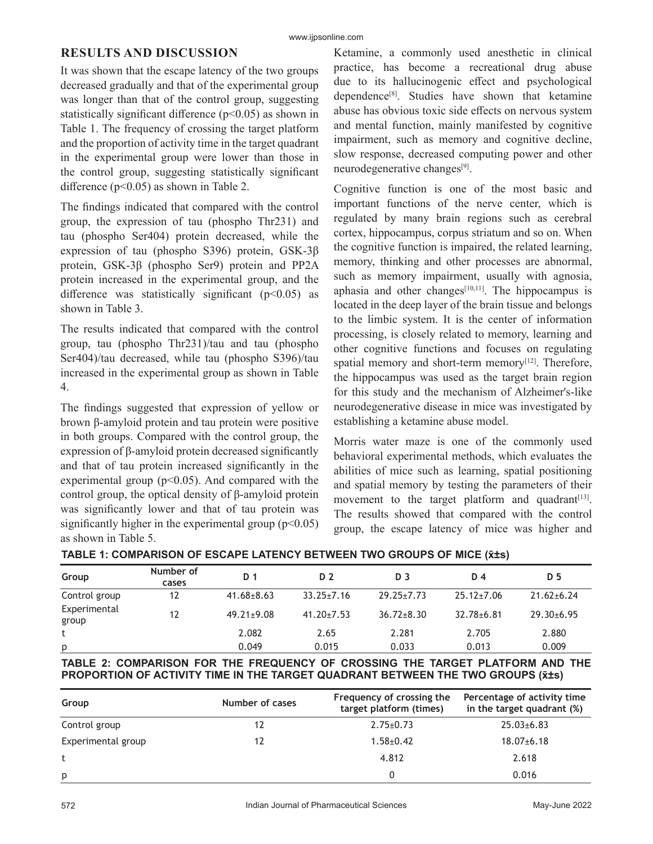#### www.ijpsonline.com

## **RESULTS AND DISCUSSION**

It was shown that the escape latency of the two groups decreased gradually and that of the experimental group was longer than that of the control group, suggesting statistically significant difference ( $p$ <0.05) as shown in Table 1. The frequency of crossing the target platform and the proportion of activity time in the target quadrant in the experimental group were lower than those in the control group, suggesting statistically significant difference  $(p<0.05)$  as shown in Table 2.

The findings indicated that compared with the control group, the expression of tau (phospho Thr231) and tau (phospho Ser404) protein decreased, while the expression of tau (phospho S396) protein, GSK-3β protein, GSK-3β (phospho Ser9) protein and PP2A protein increased in the experimental group, and the difference was statistically significant  $(p<0.05)$  as shown in Table 3.

The results indicated that compared with the control group, tau (phospho Thr231)/tau and tau (phospho Ser404)/tau decreased, while tau (phospho S396)/tau increased in the experimental group as shown in Table 4.

The findings suggested that expression of yellow or brown β-amyloid protein and tau protein were positive in both groups. Compared with the control group, the expression of β-amyloid protein decreased significantly and that of tau protein increased significantly in the experimental group ( $p<0.05$ ). And compared with the control group, the optical density of β-amyloid protein was significantly lower and that of tau protein was significantly higher in the experimental group  $(p<0.05)$ as shown in Table 5.

Ketamine, a commonly used anesthetic in clinical practice, has become a recreational drug abuse due to its hallucinogenic effect and psychological dependence[8]. Studies have shown that ketamine abuse has obvious toxic side effects on nervous system and mental function, mainly manifested by cognitive impairment, such as memory and cognitive decline, slow response, decreased computing power and other neurodegenerative changes<sup>[9]</sup>.

Cognitive function is one of the most basic and important functions of the nerve center, which is regulated by many brain regions such as cerebral cortex, hippocampus, corpus striatum and so on. When the cognitive function is impaired, the related learning, memory, thinking and other processes are abnormal, such as memory impairment, usually with agnosia, aphasia and other changes $[10,11]$ . The hippocampus is located in the deep layer of the brain tissue and belongs to the limbic system. It is the center of information processing, is closely related to memory, learning and other cognitive functions and focuses on regulating spatial memory and short-term memory $[12]$ . Therefore, the hippocampus was used as the target brain region for this study and the mechanism of Alzheimer's-like neurodegenerative disease in mice was investigated by establishing a ketamine abuse model.

Morris water maze is one of the commonly used behavioral experimental methods, which evaluates the abilities of mice such as learning, spatial positioning and spatial memory by testing the parameters of their movement to the target platform and quadrant $[13]$ . The results showed that compared with the control group, the escape latency of mice was higher and

| TABLE 1: COMPARISON OF ESCAPE LATENCY BETWEEN TWO GROUPS OF MICE (x̄±s) |
|-------------------------------------------------------------------------|
|-------------------------------------------------------------------------|

| Group                 | Number of<br>cases | D 1              | D 2              | D <sub>3</sub>   | D 4              | D 5              |
|-----------------------|--------------------|------------------|------------------|------------------|------------------|------------------|
| Control group         | 12                 | $41.68 \pm 8.63$ | $33.25 \pm 7.16$ | $29.25 \pm 7.73$ | $25.12 \pm 7.06$ | $21.62 \pm 6.24$ |
| Experimental<br>group | 12                 | $49.21 \pm 9.08$ | $41.20 \pm 7.53$ | $36.72 \pm 8.30$ | $32.78 + 6.81$   | $29.30 + 6.95$   |
|                       |                    | 2.082            | 2.65             | 2.281            | 2.705            | 2.880            |
| p                     |                    | 0.049            | 0.015            | 0.033            | 0.013            | 0.009            |

**TABLE 2: COMPARISON FOR THE FREQUENCY OF CROSSING THE TARGET PLATFORM AND THE PROPORTION OF ACTIVITY TIME IN THE TARGET QUADRANT BETWEEN THE TWO GROUPS (x̄±s)**

| Group              | Number of cases | Frequency of crossing the<br>target platform (times) | Percentage of activity time<br>in the target quadrant (%) |
|--------------------|-----------------|------------------------------------------------------|-----------------------------------------------------------|
| Control group      | 12              | $2.75 \pm 0.73$                                      | $25.03 \pm 6.83$                                          |
| Experimental group | 12              | $1.58 \pm 0.42$                                      | $18.07 \pm 6.18$                                          |
|                    |                 | 4.812                                                | 2.618                                                     |
| p                  |                 |                                                      | 0.016                                                     |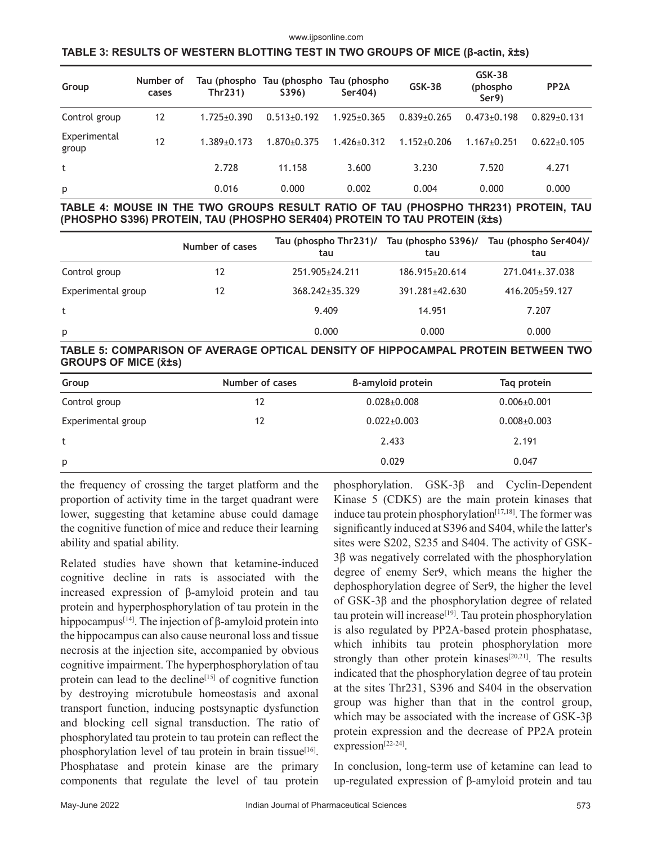#### www.ijpsonline.com

#### **TABLE 3: RESULTS OF WESTERN BLOTTING TEST IN TWO GROUPS OF MICE (β-actin, x̄±s)**

| Group                 | Number of<br>cases | Thr231)           | Tau (phospho Tau (phospho Tau (phospho<br>S396) | Ser404)           | GSK-3B            | GSK-3B<br>(phospho<br>Ser9) | PP <sub>2</sub> A |
|-----------------------|--------------------|-------------------|-------------------------------------------------|-------------------|-------------------|-----------------------------|-------------------|
| Control group         | 12                 | $1.725 \pm 0.390$ | $0.513 \pm 0.192$                               | $1.925 \pm 0.365$ | $0.839 \pm 0.265$ | $0.473 \pm 0.198$           | $0.829 \pm 0.131$ |
| Experimental<br>group | 12                 | $1.389 + 0.173$   | $1.870 \pm 0.375$                               | $1.426 \pm 0.312$ | $1.152 \pm 0.206$ | $1.167 \pm 0.251$           | $0.622 \pm 0.105$ |
| t                     |                    | 2.728             | 11.158                                          | 3.600             | 3.230             | 7.520                       | 4.271             |
| p                     |                    | 0.016             | 0.000                                           | 0.002             | 0.004             | 0.000                       | 0.000             |

**TABLE 4: MOUSE IN THE TWO GROUPS RESULT RATIO OF TAU (PHOSPHO THR231) PROTEIN, TAU (PHOSPHO S396) PROTEIN, TAU (PHOSPHO SER404) PROTEIN TO TAU PROTEIN (x̄±s)**

|                    | Number of cases | Tau (phospho Thr231)/<br>tau | Tau (phospho S396)/<br>tau | Tau (phospho Ser404)/<br>tau |
|--------------------|-----------------|------------------------------|----------------------------|------------------------------|
| Control group      | 12              | 251.905 + 24.211             | $186.915 \pm 20.614$       | $271.041 \pm 0.37.038$       |
| Experimental group | 12              | 368.242+35.329               | 391.281±42.630             | 416.205+59.127               |
| t                  |                 | 9.409                        | 14.951                     | 7.207                        |
| p                  |                 | 0.000                        | 0.000                      | 0.000                        |

**TABLE 5: COMPARISON OF AVERAGE OPTICAL DENSITY OF HIPPOCAMPAL PROTEIN BETWEEN TWO GROUPS OF MICE (x̄±s)**

| Group              | Number of cases | B-amyloid protein | Tag protein       |
|--------------------|-----------------|-------------------|-------------------|
| Control group      | 12              | $0.028 \pm 0.008$ | $0.006 \pm 0.001$ |
| Experimental group | 12              | $0.022 \pm 0.003$ | $0.008 \pm 0.003$ |
| t                  |                 | 2.433             | 2.191             |
| p                  |                 | 0.029             | 0.047             |

the frequency of crossing the target platform and the proportion of activity time in the target quadrant were lower, suggesting that ketamine abuse could damage the cognitive function of mice and reduce their learning ability and spatial ability.

Related studies have shown that ketamine-induced cognitive decline in rats is associated with the increased expression of β-amyloid protein and tau protein and hyperphosphorylation of tau protein in the hippocampus<sup>[14]</sup>. The injection of β-amyloid protein into the hippocampus can also cause neuronal loss and tissue necrosis at the injection site, accompanied by obvious cognitive impairment. The hyperphosphorylation of tau protein can lead to the decline<sup>[15]</sup> of cognitive function by destroying microtubule homeostasis and axonal transport function, inducing postsynaptic dysfunction and blocking cell signal transduction. The ratio of phosphorylated tau protein to tau protein can reflect the phosphorylation level of tau protein in brain tissue<sup>[16]</sup>. Phosphatase and protein kinase are the primary components that regulate the level of tau protein phosphorylation. GSK-3β and Cyclin-Dependent Kinase 5 (CDK5) are the main protein kinases that induce tau protein phosphorylation<sup>[17,18]</sup>. The former was significantly induced at S396 and S404, while the latter's sites were S202, S235 and S404. The activity of GSK-3β was negatively correlated with the phosphorylation degree of enemy Ser9, which means the higher the dephosphorylation degree of Ser9, the higher the level of GSK-3β and the phosphorylation degree of related tau protein will increase<sup>[19]</sup>. Tau protein phosphorylation is also regulated by PP2A-based protein phosphatase, which inhibits tau protein phosphorylation more strongly than other protein kinases<sup>[20,21]</sup>. The results indicated that the phosphorylation degree of tau protein at the sites Thr231, S396 and S404 in the observation group was higher than that in the control group, which may be associated with the increase of GSK-3β protein expression and the decrease of PP2A protein expression<sup>[22-24]</sup>.

In conclusion, long-term use of ketamine can lead to up-regulated expression of β-amyloid protein and tau